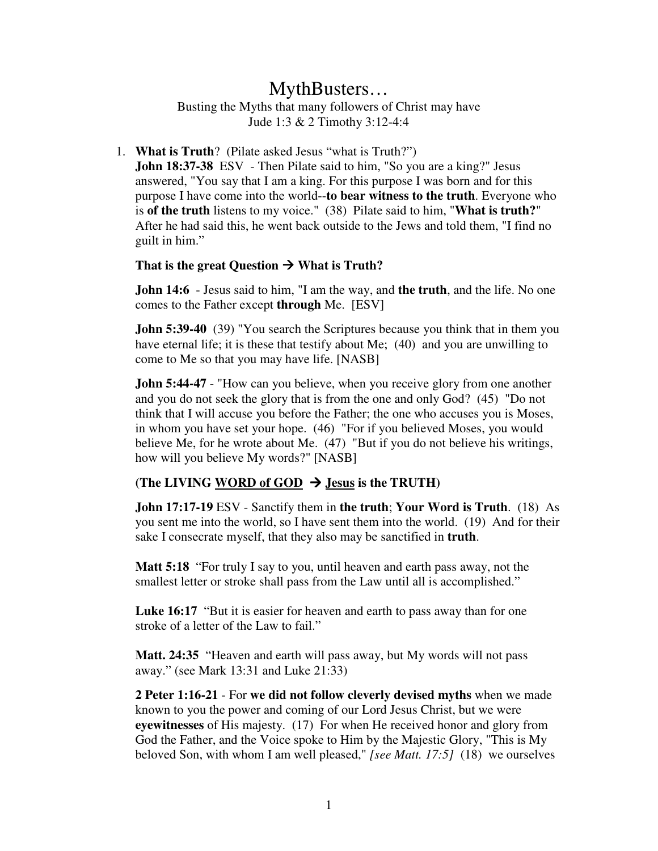# MythBusters…

Busting the Myths that many followers of Christ may have Jude 1:3 & 2 Timothy 3:12-4:4

#### 1. **What is Truth**? (Pilate asked Jesus "what is Truth?")

**John 18:37-38** ESV - Then Pilate said to him, "So you are a king?" Jesus answered, "You say that I am a king. For this purpose I was born and for this purpose I have come into the world--**to bear witness to the truth**. Everyone who is **of the truth** listens to my voice." (38) Pilate said to him, "**What is truth?**" After he had said this, he went back outside to the Jews and told them, "I find no guilt in him."

### That is the great Question  $\rightarrow$  What is Truth?

**John 14:6** - Jesus said to him, "I am the way, and **the truth**, and the life. No one comes to the Father except **through** Me. [ESV]

**John 5:39-40** (39) "You search the Scriptures because you think that in them you have eternal life; it is these that testify about Me; (40) and you are unwilling to come to Me so that you may have life. [NASB]

**John 5:44-47** - "How can you believe, when you receive glory from one another and you do not seek the glory that is from the one and only God? (45) "Do not think that I will accuse you before the Father; the one who accuses you is Moses, in whom you have set your hope. (46) "For if you believed Moses, you would believe Me, for he wrote about Me. (47) "But if you do not believe his writings, how will you believe My words?" [NASB]

## (The LIVING WORD of GOD  $\rightarrow$  Jesus is the TRUTH)

**John 17:17-19** ESV - Sanctify them in **the truth**; **Your Word is Truth**. (18) As you sent me into the world, so I have sent them into the world. (19) And for their sake I consecrate myself, that they also may be sanctified in **truth**.

**Matt 5:18** "For truly I say to you, until heaven and earth pass away, not the smallest letter or stroke shall pass from the Law until all is accomplished."

Luke 16:17 "But it is easier for heaven and earth to pass away than for one stroke of a letter of the Law to fail."

**Matt. 24:35** "Heaven and earth will pass away, but My words will not pass away." (see Mark 13:31 and Luke 21:33)

**2 Peter 1:16-21** - For **we did not follow cleverly devised myths** when we made known to you the power and coming of our Lord Jesus Christ, but we were **eyewitnesses** of His majesty. (17) For when He received honor and glory from God the Father, and the Voice spoke to Him by the Majestic Glory, "This is My beloved Son, with whom I am well pleased," *[see Matt. 17:5]* (18) we ourselves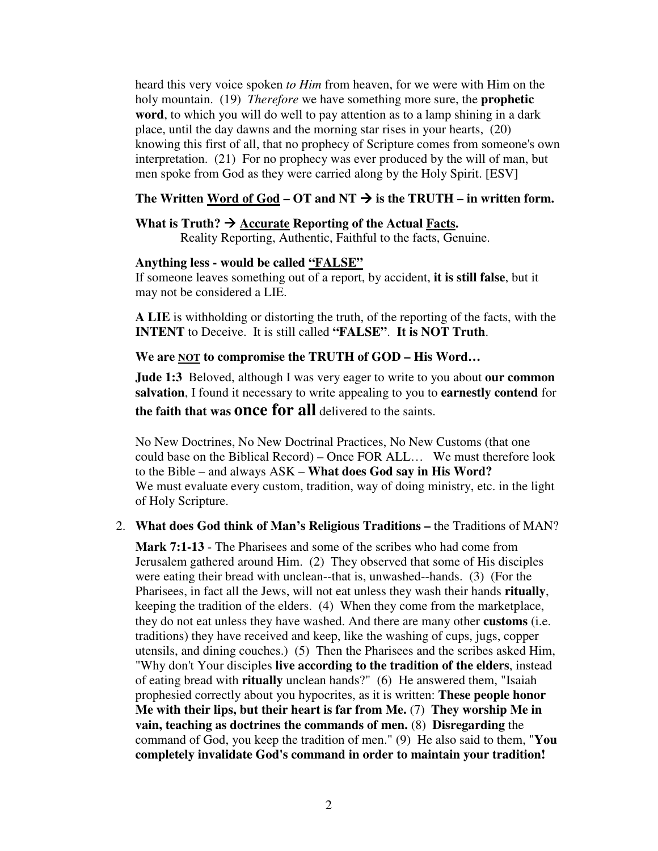heard this very voice spoken *to Him* from heaven, for we were with Him on the holy mountain. (19) *Therefore* we have something more sure, the **prophetic word**, to which you will do well to pay attention as to a lamp shining in a dark place, until the day dawns and the morning star rises in your hearts, (20) knowing this first of all, that no prophecy of Scripture comes from someone's own interpretation. (21) For no prophecy was ever produced by the will of man, but men spoke from God as they were carried along by the Holy Spirit. [ESV]

## The Written Word of God  $-$  OT and NT  $\rightarrow$  is the TRUTH – in written form.

### What is Truth?  $\rightarrow$  Accurate Reporting of the Actual Facts.

Reality Reporting, Authentic, Faithful to the facts, Genuine.

### **Anything less - would be called "FALSE"**

If someone leaves something out of a report, by accident, **it is still false**, but it may not be considered a LIE.

**A LIE** is withholding or distorting the truth, of the reporting of the facts, with the **INTENT** to Deceive. It is still called **"FALSE"**. **It is NOT Truth**.

### **We are NOT to compromise the TRUTH of GOD – His Word…**

**Jude 1:3** Beloved, although I was very eager to write to you about **our common salvation**, I found it necessary to write appealing to you to **earnestly contend** for

**the faith that was once for all** delivered to the saints.

No New Doctrines, No New Doctrinal Practices, No New Customs (that one could base on the Biblical Record) – Once FOR ALL… We must therefore look to the Bible – and always ASK – **What does God say in His Word?** We must evaluate every custom, tradition, way of doing ministry, etc. in the light of Holy Scripture.

### 2. **What does God think of Man's Religious Traditions –** the Traditions of MAN?

**Mark 7:1-13** - The Pharisees and some of the scribes who had come from Jerusalem gathered around Him. (2) They observed that some of His disciples were eating their bread with unclean--that is, unwashed--hands. (3) (For the Pharisees, in fact all the Jews, will not eat unless they wash their hands **ritually**, keeping the tradition of the elders. (4) When they come from the marketplace, they do not eat unless they have washed. And there are many other **customs** (i.e. traditions) they have received and keep, like the washing of cups, jugs, copper utensils, and dining couches.) (5) Then the Pharisees and the scribes asked Him, "Why don't Your disciples **live according to the tradition of the elders**, instead of eating bread with **ritually** unclean hands?" (6) He answered them, "Isaiah prophesied correctly about you hypocrites, as it is written: **These people honor Me with their lips, but their heart is far from Me.** (7) **They worship Me in vain, teaching as doctrines the commands of men.** (8) **Disregarding** the command of God, you keep the tradition of men." (9) He also said to them, "**You completely invalidate God's command in order to maintain your tradition!**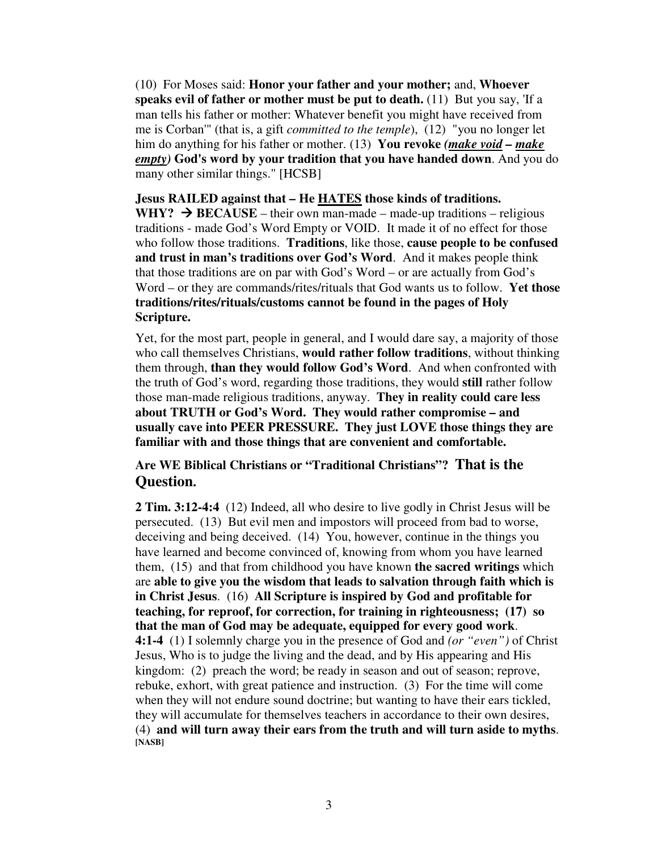(10) For Moses said: **Honor your father and your mother;** and, **Whoever speaks evil of father or mother must be put to death.** (11) But you say, 'If a man tells his father or mother: Whatever benefit you might have received from me is Corban'" (that is, a gift *committed to the temple*), (12) "you no longer let him do anything for his father or mother. (13) **You revoke** *(make void – make empty)* **God's word by your tradition that you have handed down**. And you do many other similar things." [HCSB]

**Jesus RAILED against that – He HATES those kinds of traditions.** 

**WHY?**  $\rightarrow$  **BECAUSE** – their own man-made – made-up traditions – religious traditions - made God's Word Empty or VOID. It made it of no effect for those who follow those traditions. **Traditions**, like those, **cause people to be confused and trust in man's traditions over God's Word**. And it makes people think that those traditions are on par with God's Word – or are actually from God's Word – or they are commands/rites/rituals that God wants us to follow. **Yet those traditions/rites/rituals/customs cannot be found in the pages of Holy Scripture.**

Yet, for the most part, people in general, and I would dare say, a majority of those who call themselves Christians, **would rather follow traditions**, without thinking them through, **than they would follow God's Word**. And when confronted with the truth of God's word, regarding those traditions, they would **still** rather follow those man-made religious traditions, anyway. **They in reality could care less about TRUTH or God's Word. They would rather compromise – and usually cave into PEER PRESSURE. They just LOVE those things they are familiar with and those things that are convenient and comfortable.**

**Are WE Biblical Christians or "Traditional Christians"? That is the Question.** 

**2 Tim. 3:12-4:4** (12) Indeed, all who desire to live godly in Christ Jesus will be persecuted. (13) But evil men and impostors will proceed from bad to worse, deceiving and being deceived. (14) You, however, continue in the things you have learned and become convinced of, knowing from whom you have learned them, (15) and that from childhood you have known **the sacred writings** which are **able to give you the wisdom that leads to salvation through faith which is in Christ Jesus**. (16) **All Scripture is inspired by God and profitable for teaching, for reproof, for correction, for training in righteousness; (17) so that the man of God may be adequate, equipped for every good work**. **4:1-4** (1) I solemnly charge you in the presence of God and *(or "even")* of Christ Jesus, Who is to judge the living and the dead, and by His appearing and His kingdom: (2) preach the word; be ready in season and out of season; reprove, rebuke, exhort, with great patience and instruction. (3) For the time will come when they will not endure sound doctrine; but wanting to have their ears tickled, they will accumulate for themselves teachers in accordance to their own desires, (4) **and will turn away their ears from the truth and will turn aside to myths**. **[NASB]**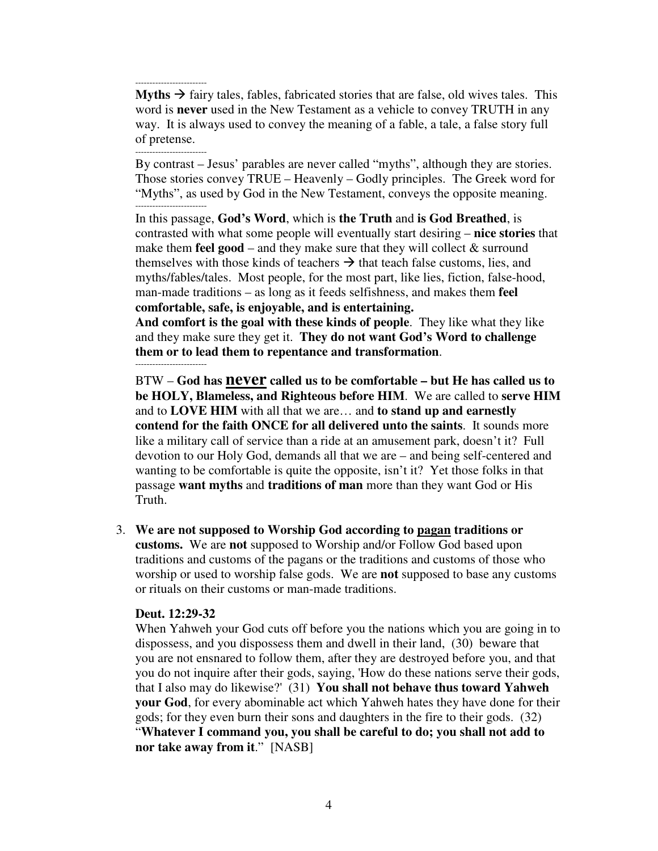------------------------- **Myths**  $\rightarrow$  fairy tales, fables, fabricated stories that are false, old wives tales. This word is **never** used in the New Testament as a vehicle to convey TRUTH in any way. It is always used to convey the meaning of a fable, a tale, a false story full of pretense.

------------------------- By contrast – Jesus' parables are never called "myths", although they are stories. Those stories convey TRUE – Heavenly – Godly principles. The Greek word for "Myths", as used by God in the New Testament, conveys the opposite meaning. -------------------------

In this passage, **God's Word**, which is **the Truth** and **is God Breathed**, is contrasted with what some people will eventually start desiring – **nice stories** that make them **feel good** – and they make sure that they will collect  $\&$  surround themselves with those kinds of teachers  $\rightarrow$  that teach false customs, lies, and myths/fables/tales. Most people, for the most part, like lies, fiction, false-hood, man-made traditions – as long as it feeds selfishness, and makes them **feel comfortable, safe, is enjoyable, and is entertaining.** 

**And comfort is the goal with these kinds of people**. They like what they like and they make sure they get it. **They do not want God's Word to challenge them or to lead them to repentance and transformation**.

-------------------------

BTW – **God has never called us to be comfortable – but He has called us to be HOLY, Blameless, and Righteous before HIM**. We are called to **serve HIM** and to **LOVE HIM** with all that we are… and **to stand up and earnestly contend for the faith ONCE for all delivered unto the saints**. It sounds more like a military call of service than a ride at an amusement park, doesn't it? Full devotion to our Holy God, demands all that we are – and being self-centered and wanting to be comfortable is quite the opposite, isn't it? Yet those folks in that passage **want myths** and **traditions of man** more than they want God or His Truth.

3. **We are not supposed to Worship God according to pagan traditions or customs.** We are **not** supposed to Worship and/or Follow God based upon traditions and customs of the pagans or the traditions and customs of those who worship or used to worship false gods. We are **not** supposed to base any customs or rituals on their customs or man-made traditions.

### **Deut. 12:29-32**

When Yahweh your God cuts off before you the nations which you are going in to dispossess, and you dispossess them and dwell in their land, (30) beware that you are not ensnared to follow them, after they are destroyed before you, and that you do not inquire after their gods, saying, 'How do these nations serve their gods, that I also may do likewise?' (31) **You shall not behave thus toward Yahweh your God**, for every abominable act which Yahweh hates they have done for their gods; for they even burn their sons and daughters in the fire to their gods. (32) "**Whatever I command you, you shall be careful to do; you shall not add to nor take away from it**." [NASB]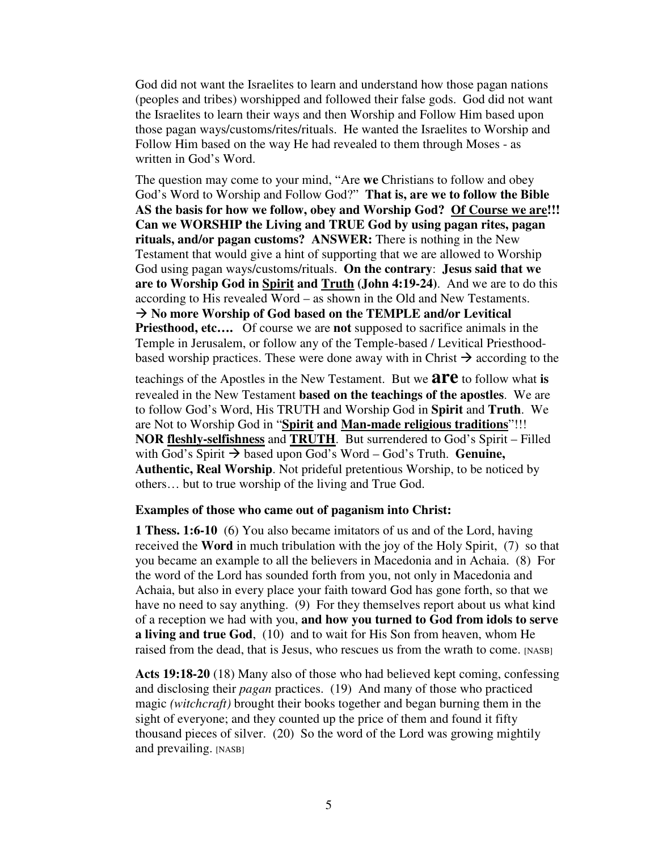God did not want the Israelites to learn and understand how those pagan nations (peoples and tribes) worshipped and followed their false gods. God did not want the Israelites to learn their ways and then Worship and Follow Him based upon those pagan ways/customs/rites/rituals. He wanted the Israelites to Worship and Follow Him based on the way He had revealed to them through Moses - as written in God's Word.

The question may come to your mind, "Are **we** Christians to follow and obey God's Word to Worship and Follow God?" **That is, are we to follow the Bible AS the basis for how we follow, obey and Worship God? Of Course we are!!! Can we WORSHIP the Living and TRUE God by using pagan rites, pagan rituals, and/or pagan customs? ANSWER:** There is nothing in the New Testament that would give a hint of supporting that we are allowed to Worship God using pagan ways/customs/rituals. **On the contrary**: **Jesus said that we are to Worship God in Spirit and Truth (John 4:19-24)**. And we are to do this according to His revealed Word – as shown in the Old and New Testaments. **No more Worship of God based on the TEMPLE and/or Levitical Priesthood, etc….** Of course we are **not** supposed to sacrifice animals in the Temple in Jerusalem, or follow any of the Temple-based / Levitical Priesthoodbased worship practices. These were done away with in Christ  $\rightarrow$  according to the

teachings of the Apostles in the New Testament. But we **are** to follow what **is** revealed in the New Testament **based on the teachings of the apostles**. We are to follow God's Word, His TRUTH and Worship God in **Spirit** and **Truth**. We are Not to Worship God in "**Spirit and Man-made religious traditions**"!!! **NOR fleshly-selfishness** and **TRUTH**. But surrendered to God's Spirit – Filled with God's Spirit  $\rightarrow$  based upon God's Word – God's Truth. **Genuine, Authentic, Real Worship**. Not prideful pretentious Worship, to be noticed by others… but to true worship of the living and True God.

#### **Examples of those who came out of paganism into Christ:**

**1 Thess. 1:6-10** (6) You also became imitators of us and of the Lord, having received the **Word** in much tribulation with the joy of the Holy Spirit, (7) so that you became an example to all the believers in Macedonia and in Achaia. (8) For the word of the Lord has sounded forth from you, not only in Macedonia and Achaia, but also in every place your faith toward God has gone forth, so that we have no need to say anything. (9) For they themselves report about us what kind of a reception we had with you, **and how you turned to God from idols to serve a living and true God**, (10) and to wait for His Son from heaven, whom He raised from the dead, that is Jesus, who rescues us from the wrath to come. [NASB]

**Acts 19:18-20** (18) Many also of those who had believed kept coming, confessing and disclosing their *pagan* practices. (19) And many of those who practiced magic *(witchcraft)* brought their books together and began burning them in the sight of everyone; and they counted up the price of them and found it fifty thousand pieces of silver. (20) So the word of the Lord was growing mightily and prevailing. [NASB]